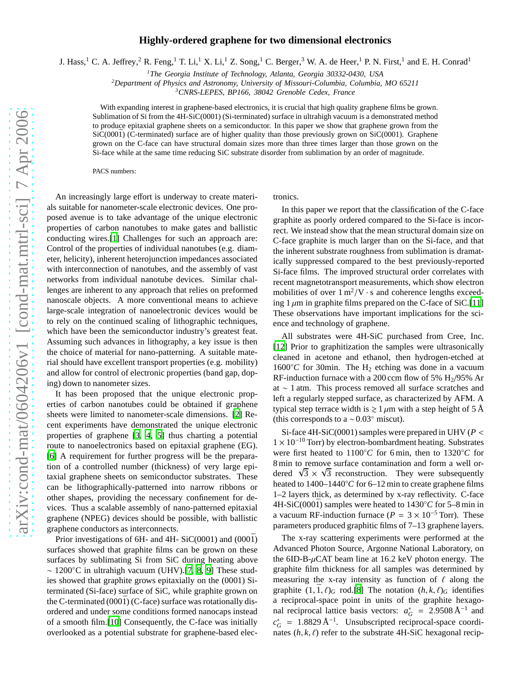## **Highly-ordered graphene for two dimensional electronics**

J. Hass,<sup>1</sup> C. A. Jeffrey,<sup>2</sup> R. Feng,<sup>1</sup> T. Li,<sup>1</sup> X. Li,<sup>1</sup> Z. Song,<sup>1</sup> C. Berger,<sup>3</sup> W. A. de Heer,<sup>1</sup> P. N. First,<sup>1</sup> and E. H. Conrad<sup>1</sup>

*<sup>1</sup>The Georgia Institute of Technology, Atlanta, Georgia 30332-0430, USA*

*<sup>2</sup>Department of Physics and Astronomy, University of Missouri-Columbia, Columbia, MO 65211*

*<sup>3</sup>CNRS-LEPES, BP166, 38042 Grenoble Cedex, France*

With expanding interest in graphene-based electronics, it is crucial that high quality graphene films be grown. Sublimation of Si from the 4H-SiC(0001) (Si-terminated) surface in ultrahigh vacuum is a demonstrated method to produce epitaxial graphene sheets on a semiconductor. In this paper we show that graphene grown from the  $SiC(000\bar{1})$  (C-terminated) surface are of higher quality than those previously grown on  $SiC(0001)$ . Graphene grown on the C-face can have structural domain sizes more than three times larger than those grown on the Si-face while at the same time reducing SiC substrate disorder from sublimation by an order of magnitude.

PACS numbers:

An increasingly large effort is underway to create materials suitable for nanometer-scale electronic devices. One proposed avenue is to take advantage of the unique electronic properties of carbon nanotubes to make gates and ballistic conducting wires.[\[1\]](#page-2-0) Challenges for such an approach are: Control of the properties of individual nanotubes (e.g. diameter, helicity), inherent heterojunction impedances associated with interconnection of nanotubes, and the assembly of vast networks from individual nanotube devices. Similar challenges are inherent to any approach that relies on preformed nanoscale objects. A more conventional means to achieve large-scale integration of nanoelectronic devices would be to rely on the continued scaling of lithographic techniques, which have been the semiconductor industry's greatest feat. Assuming such advances in lithography, a key issue is then the choice of material for nano-patterning. A suitable material should have excellent transport properties (e.g. mobility) and allow for control of electronic properties (band gap, doping) down to nanometer sizes.

It has been proposed that the unique electronic properties of carbon nanotubes could be obtained if graphene sheets were limited to nanometer-scale dimensions. [\[2](#page-2-1)] Recent experiments have demonstrated the unique electronic properties of graphene [\[3](#page-2-2), [4,](#page-2-3) [5](#page-2-4)] thus charting a potential route to nanoelectronics based on epitaxial graphene (EG). [\[6](#page-2-5)] A requirement for further progress will be the preparation of a controlled number (thickness) of very large epitaxial graphene sheets on semiconductor substrates. These can be lithographically-patterned into narrow ribbons or other shapes, providing the necessary confinement for devices. Thus a scalable assembly of nano-patterned epitaxial graphene (NPEG) devices should be possible, with ballistic graphene conductors as interconnects.

Prior investigations of 6H- and 4H- SiC(0001) and  $(000\bar{1})$ surfaces showed that graphite films can be grown on these surfaces by sublimating Si from SiC during heating above ∼ 1200◦C in ultrahigh vacuum (UHV).[\[7](#page-2-6), [8](#page-2-7), [9](#page-2-8)] These studies showed that graphite grows epitaxially on the (0001) Siterminated (Si-face) surface of SiC, while graphite grown on the C-terminated  $(000\bar{1})$  (C-face) surface was rotationally disordered and under some conditions formed nanocaps instead of a smooth film.[\[10\]](#page-2-9) Consequently, the C-face was initially overlooked as a potential substrate for graphene-based electronics.

In this paper we report that the classification of the C-face graphite as poorly ordered compared to the Si-face is incorrect. We instead show that the mean structural domain size on C-face graphite is much larger than on the Si-face, and that the inherent substrate roughness from sublimation is dramatically suppressed compared to the best previously-reported Si-face films. The improved structural order correlates with recent magnetotransport measurements, which show electron mobilities of over  $1 \text{ m}^2/\text{V} \cdot \text{s}$  and coherence lengths exceeding  $1 \mu m$  in graphite films prepared on the C-face of SiC.[\[11\]](#page-2-10) These observations have important implications for the science and technology of graphene.

All substrates were 4H-SiC purchased from Cree, Inc. [\[12](#page-2-11)] Prior to graphitization the samples were ultrasonically cleaned in acetone and ethanol, then hydrogen-etched at  $1600\degree C$  for 30min. The H<sub>2</sub> etching was done in a vacuum RF-induction furnace with a 200 ccm flow of 5%  $H<sub>2</sub>/95%$  Ar at ∼ 1 atm. This process removed all surface scratches and left a regularly stepped surface, as characterized by AFM. A typical step terrace width is  $\geq 1 \mu m$  with a step height of 5 Å (this corresponds to a  $\sim 0.03°$  miscut).

Si-face 4H-SiC(0001) samples were prepared in UHV (*P* <  $1 \times 10^{-10}$  Torr) by electron-bombardment heating. Substrates were first heated to 1100◦*C* for 6 min, then to 1320◦*C* for 8 min to remove surface contamination and form a well ordered  $\sqrt{3} \times \sqrt{3}$  reconstruction. They were subsequently heated to 1400–1440◦*C* for 6–12 min to create graphene films 1–2 layers thick, as determined by x-ray reflectivity. C-face 4H-SiC(0001) samples were heated to  $1430^{\circ}$ C for 5–8 min in a vacuum RF-induction furnace ( $P = 3 \times 10^{-5}$  Torr). These parameters produced graphitic films of 7–13 graphene layers.

The x-ray scattering experiments were performed at the Advanced Photon Source, Argonne National Laboratory, on the  $6ID-B-\mu CAT$  beam line at 16.2 keV photon energy. The graphite film thickness for all samples was determined by measuring the x-ray intensity as function of  $\ell$  along the graphite  $(1, \bar{1}, \ell)_G$  rod.[\[8](#page-2-7)] The notation  $(h, k, \ell)_G$  identifies a reciprocal-space point in units of the graphite hexagonal reciprocal lattice basis vectors:  $a_G^* = 2.9508 \text{ Å}^{-1}$  and  $c_G^* = 1.8829 \text{ Å}^{-1}$ . Unsubscripted reciprocal-space coordinates  $(h, k, \ell)$  refer to the substrate 4H-SiC hexagonal recip-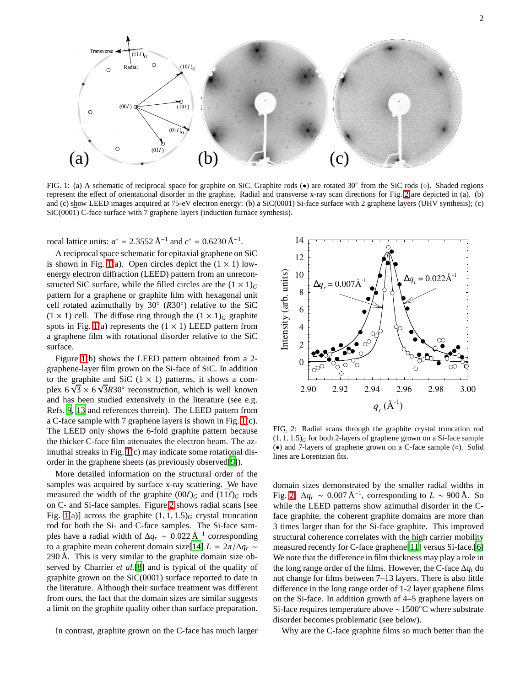

<span id="page-1-1"></span>FIG. 1: (a) A schematic of reciprocal space for graphite on SiC. Graphite rods (●) are rotated 30° from the SiC rods (○). Shaded regions represent the effect of orientational disorder in the graphite. Radial and transverse x-ray scan directions for Fig. [2](#page-1-0) are depicted in (a). (b) and (c) show LEED images acquired at 75-eV electron energy: (b) a SiC(0001) Si-face surface with 2 graphene layers (UHV synthesis); (c)  $SiC(000\bar{1})$  C-face surface with 7 graphene layers (induction furnace synthesis).

rocal lattice units:  $a^* = 2.3552 \text{ Å}^{-1}$  and  $c^* = 0.6230 \text{ Å}^{-1}$ .

A reciprocal space schematic for epitaxial graphene on SiC is shown in Fig. [1\(](#page-1-1)a). Open circles depict the  $(1 \times 1)$  lowenergy electron diffraction (LEED) pattern from an unreconstructed SiC surface, while the filled circles are the  $(1 \times 1)<sub>G</sub>$ pattern for a graphene or graphite film with hexagonal unit cell rotated azimuthally by 30◦ (*R*30◦ ) relative to the SiC  $(1 \times 1)$  cell. The diffuse ring through the  $(1 \times 1)_G$  graphite spots in Fig. [1\(](#page-1-1)a) represents the  $(1 \times 1)$  LEED pattern from a graphene film with rotational disorder relative to the SiC surface.

Figure [1\(](#page-1-1)b) shows the LEED pattern obtained from a 2 graphene-layer film grown on the Si-face of SiC. In addition to the graphite and SiC  $(1 \times 1)$  patterns, it shows a complex  $6\sqrt{3} \times 6\sqrt{3}R30^\circ$  reconstruction, which is well known and has been studied extensively in the literature (see e.g. Refs. [9,](#page-2-8) [13](#page-2-12) and references therein). The LEED pattern from a C-face sample with 7 graphene layers is shown in Fig. [1\(](#page-1-1)c). The LEED only shows the 6-fold graphite pattern because the thicker C-face film attenuates the electron beam. The azimuthal streaks in Fig. [1\(](#page-1-1)c) may indicate some rotational disorder in the graphene sheets (as previously observed[\[9\]](#page-2-8)).

More detailed information on the structural order of the samples was acquired by surface x-ray scattering. We have measured the width of the graphite  $(00\ell)_G$  and  $(1\bar{1}\ell)_G$  rods on C- and Si-face samples. Figure [2](#page-1-0) shows radial scans [see Fig. [1\(](#page-1-1)a)] across the graphite  $(1, \overline{1}, 1.5)$ <sup>G</sup> crystal truncation rod for both the Si- and C-face samples. The Si-face samples have a radial width of  $\Delta q_r \sim 0.022 \text{ Å}^{-1}$  corresponding to a graphite mean coherent domain size[\[14\]](#page-2-13)  $L = 2\pi/\Delta q_r \sim$ 290 Å. This is very similar to the graphite domain size observed by Charrier *et al.*[\[8\]](#page-2-7) and is typical of the quality of graphite grown on the SiC(0001) surface reported to date in the literature. Although their surface treatment was different from ours, the fact that the domain sizes are similar suggests a limit on the graphite quality other than surface preparation.

In contrast, graphite grown on the C-face has much larger



<span id="page-1-0"></span>FIG. 2: Radial scans through the graphite crystal truncation rod  $(1, \overline{1}, 1.5)$ <sup>G</sup> for both 2-layers of graphene grown on a Si-face sample (•) and 7-layers of graphene grown on a C-face sample (◦). Solid lines are Lorentzian fits.

domain sizes demonstrated by the smaller radial widths in Fig. [2:](#page-1-0)  $\Delta q_r \sim 0.007 \text{ Å}^{-1}$ , corresponding to  $L \sim 900 \text{ Å}$ . So while the LEED patterns show azimuthal disorder in the Cface graphite, the coherent graphite domains are more than 3 times larger than for the Si-face graphite. This improved structural coherence correlates with the high carrier mobility measured recently for C-face graphene[\[11\]](#page-2-10) versus Si-face.[\[6\]](#page-2-5) We note that the difference in film thickness may play a role in the long range order of the films. However, the C-face ∆*q<sup>t</sup>* do not change for films between 7–13 layers. There is also little difference in the long range order of 1-2 layer graphene films on the Si-face. In addition growth of 4–5 graphene layers on Si-face requires temperature above ∼1500◦C where substrate disorder becomes problematic (see below).

Why are the C-face graphite films so much better than the